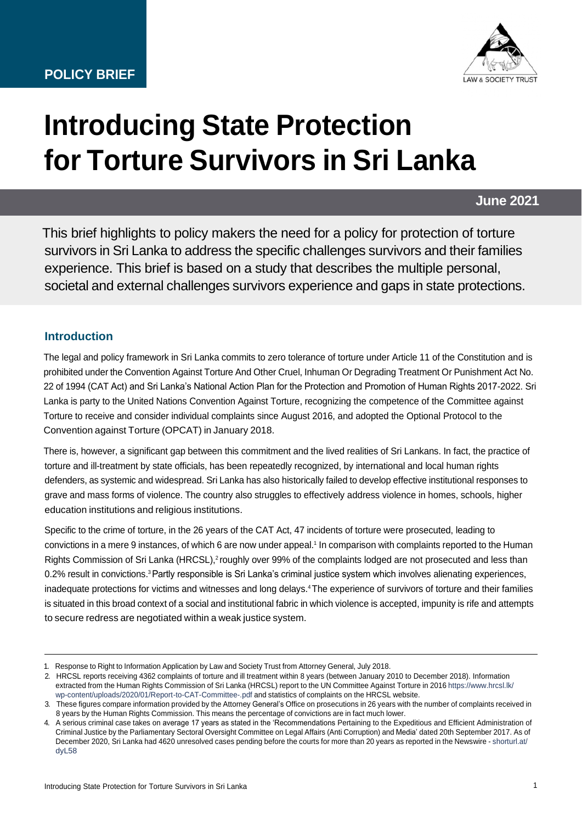

# **Introducing State Protection for Torture Survivors in Sri Lanka**

**June 2021**

This brief highlights to policy makers the need for a policy for protection of torture survivors in Sri Lanka to address the specific challenges survivors and their families experience. This brief is based on a study that describes the multiple personal, societal and external challenges survivors experience and gaps in state protections.

# **Introduction**

The legal and policy framework in Sri Lanka commits to zero tolerance of torture under Article 11 of the Constitution and is prohibited under the Convention Against Torture And Other Cruel, Inhuman Or Degrading Treatment Or Punishment Act No. 22 of 1994 (CAT Act) and Sri Lanka's National Action Plan for the Protection and Promotion of Human Rights 2017-2022. Sri Lanka is party to the United Nations Convention Against Torture, recognizing the competence of the Committee against Torture to receive and consider individual complaints since August 2016, and adopted the Optional Protocol to the Convention against Torture (OPCAT) in January 2018.

There is, however, a significant gap between this commitment and the lived realities of Sri Lankans. In fact, the practice of torture and ill-treatment by state officials, has been repeatedly recognized, by international and local human rights defenders, as systemic and widespread. Sri Lanka has also historically failed to develop effective institutional responses to grave and mass forms of violence. The country also struggles to effectively address violence in homes, schools, higher education institutions and religious institutions.

Specific to the crime of torture, in the 26 years of the CAT Act, 47 incidents of torture were prosecuted, leading to convictions in a mere 9 instances, of which 6 are now under appeal.<sup>1</sup> In comparison with complaints reported to the Human Rights Commission of Sri Lanka (HRCSL),<sup>2</sup> roughly over 99% of the complaints lodged are not prosecuted and less than 0.2% result in convictions.<sup>3</sup> Partly responsible is Sri Lanka's criminal justice system which involves alienating experiences, inadequate protections for victims and witnesses and long delays.<sup>4</sup> The experience of survivors of torture and their families is situated in this broad context of a social and institutional fabric in which violence is accepted, impunity is rife and attempts to secure redress are negotiated within a weak justice system.

<sup>1.</sup> Response to Right to Information Application by Law and Society Trust from Attorney General, July 2018.

<sup>2.</sup> HRCSL reports receiving 4362 complaints of torture and ill treatment within 8 years (between January 2010 to December 2018). Information extracted from the Human Rights Commission of Sri Lanka (HRCSL) report to the UN Committee Against Torture in 2016 [https://www.hrcsl.lk/](https://www.hrcsl.lk/wp-content/uploads/2020/01/Report-to-CAT-Committee-.pdf) [wp-content/uploads/2020/01/Report-to-CAT-Committee-.pdf](https://www.hrcsl.lk/wp-content/uploads/2020/01/Report-to-CAT-Committee-.pdf) and statistics of complaints on the HRCSL website.

<sup>3.</sup> These figures compare information provided by the Attorney General's Office on prosecutions in 26 years with the number of complaints received in 8 years by the Human Rights Commission. This means the percentage of convictions are in fact much lower.

<sup>4.</sup> A serious criminal case takes on average 17 years as stated in the 'Recommendations Pertaining to the Expeditious and Efficient Administration of Criminal Justice by the Parliamentary Sectoral Oversight Committee on Legal Affairs (Anti Corruption) and Media' dated 20th September 2017. As of December 2020, Sri Lanka had 4620 unresolved cases pending before the courts for more than 20 years as reported in the Newswire - [shorturl.at/](http://shorturl.at/dyL58) [dyL58](http://shorturl.at/dyL58)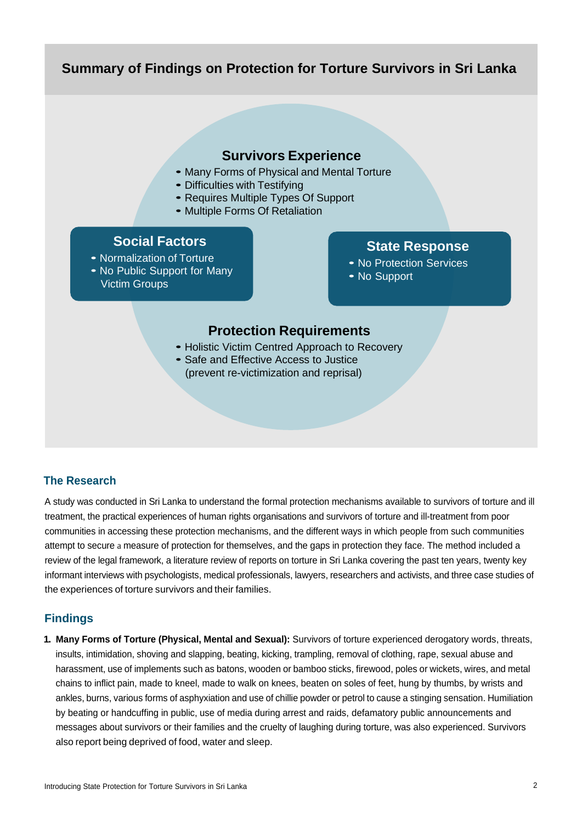# **Summary of Findings on Protection for Torture Survivors in Sri Lanka**

## **Survivors Experience**

- Many Forms of Physical and Mental Torture
- Difficulties with Testifying
- Requires Multiple Types Of Support
- Multiple Forms Of Retaliation

#### **Social Factors**

• Normalization of Torture • No Public Support for Many Victim Groups

# **State Response**

- No Protection Services
- No Support

# **Protection Requirements**

- Holistic Victim Centred Approach to Recovery
- Safe and Effective Access to Justice (prevent re-victimization and reprisal)

#### **The Research**

A study was conducted in Sri Lanka to understand the formal protection mechanisms available to survivors of torture and ill treatment, the practical experiences of human rights organisations and survivors of torture and ill-treatment from poor communities in accessing these protection mechanisms, and the different ways in which people from such communities attempt to secure a measure of protection for themselves, and the gaps in protection they face. The method included a review of the legal framework, a literature review of reports on torture in Sri Lanka covering the past ten years, twenty key informant interviews with psychologists, medical professionals, lawyers, researchers and activists, and three case studies of the experiences of torture survivors and their families.

#### **Findings**

**1. Many Forms of Torture (Physical, Mental and Sexual):** Survivors of torture experienced derogatory words, threats, insults, intimidation, shoving and slapping, beating, kicking, trampling, removal of clothing, rape, sexual abuse and harassment, use of implements such as batons, wooden or bamboo sticks, firewood, poles or wickets, wires, and metal chains to inflict pain, made to kneel, made to walk on knees, beaten on soles of feet, hung by thumbs, by wrists and ankles, burns, various forms of asphyxiation and use of chillie powder or petrol to cause a stinging sensation. Humiliation by beating or handcuffing in public, use of media during arrest and raids, defamatory public announcements and messages about survivors or their families and the cruelty of laughing during torture, was also experienced. Survivors also report being deprived of food, water and sleep.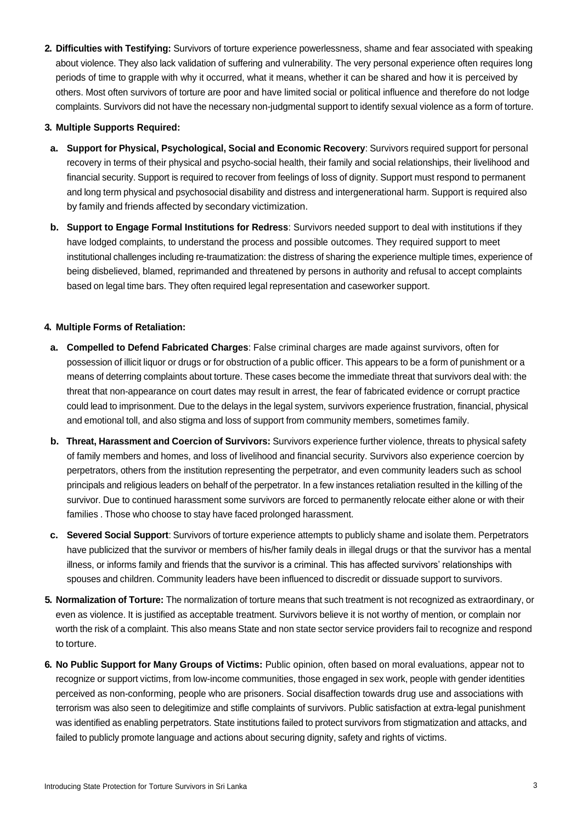**2. Difficulties with Testifying:** Survivors of torture experience powerlessness, shame and fear associated with speaking about violence. They also lack validation of suffering and vulnerability. The very personal experience often requires long periods of time to grapple with why it occurred, what it means, whether it can be shared and how it is perceived by others. Most often survivors of torture are poor and have limited social or political influence and therefore do not lodge complaints. Survivors did not have the necessary non-judgmental support to identify sexual violence as a form of torture.

#### **3. Multiple Supports Required:**

- **a. Support for Physical, Psychological, Social and Economic Recovery**: Survivors required support for personal recovery in terms of their physical and psycho-social health, their family and social relationships, their livelihood and financial security. Support is required to recover from feelings of loss of dignity. Support must respond to permanent and long term physical and psychosocial disability and distress and intergenerational harm. Support is required also by family and friends affected by secondary victimization.
- **b. Support to Engage Formal Institutions for Redress**: Survivors needed support to deal with institutions if they have lodged complaints, to understand the process and possible outcomes. They required support to meet institutional challenges including re-traumatization: the distress of sharing the experience multiple times, experience of being disbelieved, blamed, reprimanded and threatened by persons in authority and refusal to accept complaints based on legal time bars. They often required legal representation and caseworker support.

#### **4. Multiple Forms of Retaliation:**

- **a. Compelled to Defend Fabricated Charges**: False criminal charges are made against survivors, often for possession of illicit liquor or drugs or for obstruction of a public officer. This appears to be a form of punishment or a means of deterring complaints about torture. These cases become the immediate threat that survivors deal with: the threat that non-appearance on court dates may result in arrest, the fear of fabricated evidence or corrupt practice could lead to imprisonment. Due to the delays in the legal system, survivors experience frustration, financial, physical and emotional toll, and also stigma and loss of support from community members, sometimes family.
- **b. Threat, Harassment and Coercion of Survivors:** Survivors experience further violence, threats to physical safety of family members and homes, and loss of livelihood and financial security. Survivors also experience coercion by perpetrators, others from the institution representing the perpetrator, and even community leaders such as school principals and religious leaders on behalf of the perpetrator. In a few instances retaliation resulted in the killing of the survivor. Due to continued harassment some survivors are forced to permanently relocate either alone or with their families . Those who choose to stay have faced prolonged harassment.
- **c. Severed Social Support**: Survivors of torture experience attempts to publicly shame and isolate them. Perpetrators have publicized that the survivor or members of his/her family deals in illegal drugs or that the survivor has a mental illness, or informs family and friends that the survivor is a criminal. This has affected survivors' relationships with spouses and children. Community leaders have been influenced to discredit or dissuade support to survivors.
- **5. Normalization of Torture:** The normalization of torture means that such treatment is not recognized as extraordinary, or even as violence. It is justified as acceptable treatment. Survivors believe it is not worthy of mention, or complain nor worth the risk of a complaint. This also means State and non state sector service providers fail to recognize and respond to torture.
- **6. No Public Support for Many Groups of Victims:** Public opinion, often based on moral evaluations, appear not to recognize or support victims, from low-income communities, those engaged in sex work, people with gender identities perceived as non-conforming, people who are prisoners. Social disaffection towards drug use and associations with terrorism was also seen to delegitimize and stifle complaints of survivors. Public satisfaction at extra-legal punishment was identified as enabling perpetrators. State institutions failed to protect survivors from stigmatization and attacks, and failed to publicly promote language and actions about securing dignity, safety and rights of victims.